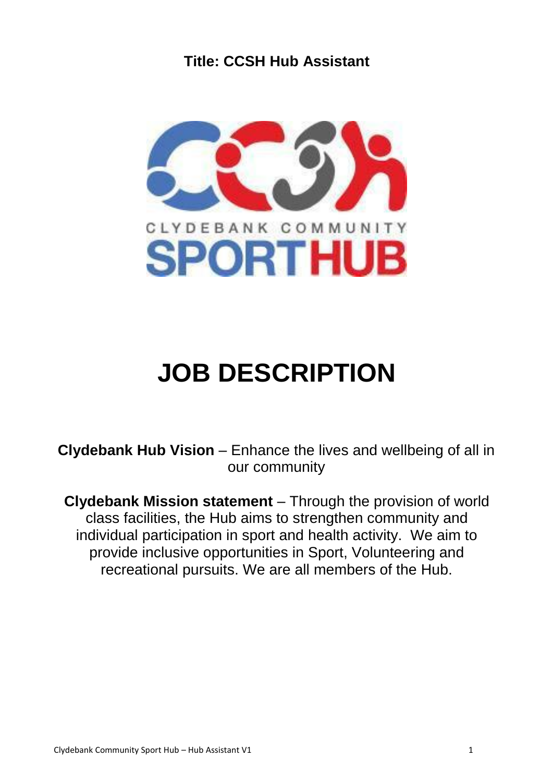**Title: CCSH Hub Assistant** 



# **JOB DESCRIPTION**

**Clydebank Hub Vision** – Enhance the lives and wellbeing of all in our community

**Clydebank Mission statement** – Through the provision of world class facilities, the Hub aims to strengthen community and individual participation in sport and health activity. We aim to provide inclusive opportunities in Sport, Volunteering and recreational pursuits. We are all members of the Hub.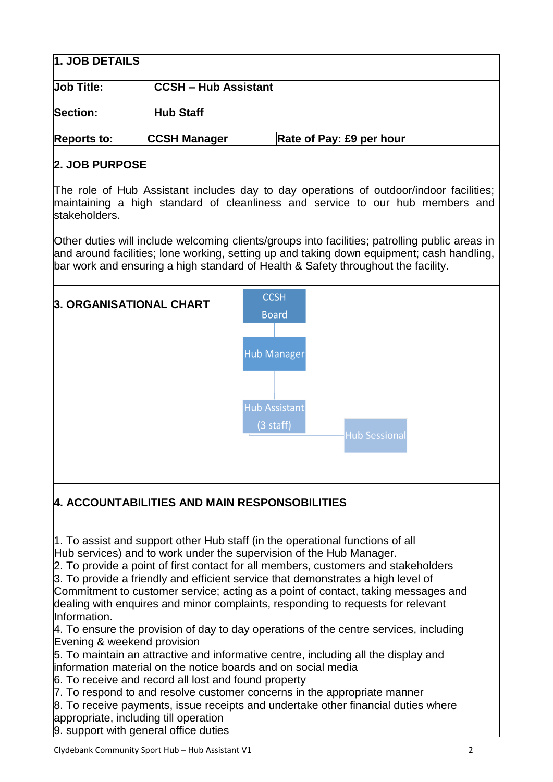| $\overline{\mathsf{h}}$ . JOB DETAILS |                           |                          |  |
|---------------------------------------|---------------------------|--------------------------|--|
| <b>Job Title:</b>                     | <b>CCSH-Hub Assistant</b> |                          |  |
| Section:                              | <b>Hub Staff</b>          |                          |  |
| <b>Reports to:</b>                    | <b>CCSH Manager</b>       | Rate of Pay: £9 per hour |  |

## **2. JOB PURPOSE**

The role of Hub Assistant includes day to day operations of outdoor/indoor facilities; maintaining a high standard of cleanliness and service to our hub members and stakeholders.

Other duties will include welcoming clients/groups into facilities; patrolling public areas in and around facilities; lone working, setting up and taking down equipment; cash handling, bar work and ensuring a high standard of Health & Safety throughout the facility.

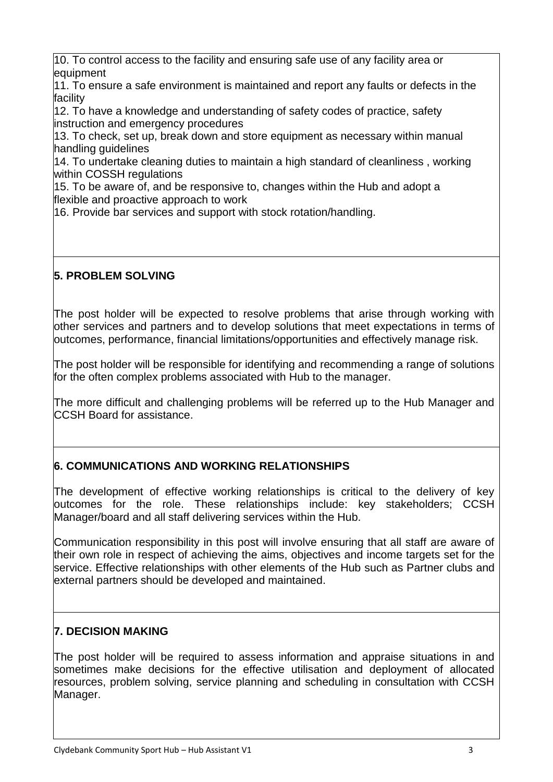10. To control access to the facility and ensuring safe use of any facility area or equipment

11. To ensure a safe environment is maintained and report any faults or defects in the facility

12. To have a knowledge and understanding of safety codes of practice, safety instruction and emergency procedures

13. To check, set up, break down and store equipment as necessary within manual handling guidelines

14. To undertake cleaning duties to maintain a high standard of cleanliness , working within COSSH regulations

15. To be aware of, and be responsive to, changes within the Hub and adopt a flexible and proactive approach to work

16. Provide bar services and support with stock rotation/handling.

### **5. PROBLEM SOLVING**

The post holder will be expected to resolve problems that arise through working with other services and partners and to develop solutions that meet expectations in terms of outcomes, performance, financial limitations/opportunities and effectively manage risk.

The post holder will be responsible for identifying and recommending a range of solutions for the often complex problems associated with Hub to the manager.

The more difficult and challenging problems will be referred up to the Hub Manager and CCSH Board for assistance.

### **6. COMMUNICATIONS AND WORKING RELATIONSHIPS**

The development of effective working relationships is critical to the delivery of key outcomes for the role. These relationships include: key stakeholders; CCSH Manager/board and all staff delivering services within the Hub.

Communication responsibility in this post will involve ensuring that all staff are aware of their own role in respect of achieving the aims, objectives and income targets set for the service. Effective relationships with other elements of the Hub such as Partner clubs and external partners should be developed and maintained.

### **7. DECISION MAKING**

The post holder will be required to assess information and appraise situations in and sometimes make decisions for the effective utilisation and deployment of allocated resources, problem solving, service planning and scheduling in consultation with CCSH Manager.